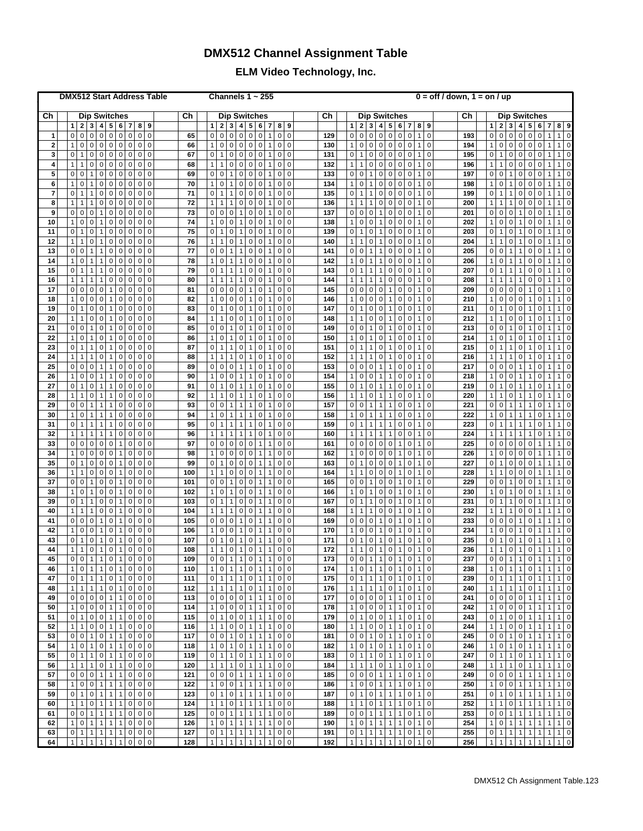## **DMX512 Channel Assignment Table**

## **ELM Video Technology, Inc.**

| <b>DMX512 Start Address Table</b> |                                                                                                                                                                                                                                                                   |            | Channels $1 \sim 255$                                                                                                                                                                                                                                                  | $0 = \text{off }$ / down, $1 = \text{on }$ / up |                                                                                                                                                                                                                     |                                                                                                                                                                                                                                                                                                    |
|-----------------------------------|-------------------------------------------------------------------------------------------------------------------------------------------------------------------------------------------------------------------------------------------------------------------|------------|------------------------------------------------------------------------------------------------------------------------------------------------------------------------------------------------------------------------------------------------------------------------|-------------------------------------------------|---------------------------------------------------------------------------------------------------------------------------------------------------------------------------------------------------------------------|----------------------------------------------------------------------------------------------------------------------------------------------------------------------------------------------------------------------------------------------------------------------------------------------------|
| Ch                                | <b>Dip Switches</b>                                                                                                                                                                                                                                               | Ch         | <b>Dip Switches</b>                                                                                                                                                                                                                                                    | Сh                                              | <b>Dip Switches</b>                                                                                                                                                                                                 | Ch<br><b>Dip Switches</b>                                                                                                                                                                                                                                                                          |
|                                   | 6 <br>$\mathbf{1}$<br>2 <br>$\mathbf{3}$<br>4<br>5 <sup>1</sup><br>$\overline{7}$<br>8 <sup>1</sup><br>9                                                                                                                                                          |            | $\overline{\mathbf{2}}$<br>3<br>4 <br>$5\phantom{.0}$<br>6<br>7<br>8<br>9<br>$\mathbf{1}$                                                                                                                                                                              |                                                 | $\mathbf{2}$<br>3<br>4 <br>5<br>6<br>7 <sup>1</sup><br>8<br>$\mathbf{1}$<br>9                                                                                                                                       | $\mathbf{2}$<br>3<br>$\overline{4}$<br>5<br>6<br>8<br>1<br>$\mathbf{7}$<br>9                                                                                                                                                                                                                       |
| $\mathbf 1$                       | $\overline{0}$<br>$\pmb{0}$<br>$\overline{0}$<br>$\pmb{0}$<br>$\pmb{0}$<br>$\mathbf 0$<br>$\pmb{0}$<br>$\overline{0}$<br>$\mathbf 0$                                                                                                                              | 65         | $\pmb{0}$<br>$\mathbf 0$<br>$\overline{0}$<br>$\mathbf 0$<br>$\mathbf 0$<br>$\mathsf 0$<br>$\mathbf 0$<br>0<br>1                                                                                                                                                       | 129                                             | $\mathsf 0$<br>$\mathbf 0$<br>$\pmb{0}$<br>0 0<br> 0 <br>$\mathbf{1}$<br>$\mathbf 0$<br>$\pmb{0}$                                                                                                                   | $\mathbf{1}$<br>0<br>$\pmb{0}$<br>$\overline{0}$<br>$\overline{0}$<br>$\mathbf 0$<br>$\mathbf 0$<br>$\overline{0}$<br>$\mathbf{1}$<br>193                                                                                                                                                          |
| $\bf{2}$                          | $\mathbf{1}$<br>$\overline{0}$<br>$\pmb{0}$<br>$\mathbf 0$<br> 0 <br> 0 <br>$\pmb{0}$<br>$\pmb{0}$<br> 0                                                                                                                                                          | 66         | $\mathbf{1}$<br>$\pmb{0}$<br>$\mathbf 0$<br> 0 <br>$\pmb{0}$<br>$\mathbf 0$<br>$\mathbf 0$<br>1<br>$\mathsf 0$                                                                                                                                                         | 130                                             | $\mathbf{1}$<br>$\mathbf 0$<br>$\mathbf 0$<br>0 0<br> 0 <br>$\mathsf 0$<br>$\mathbf{1}$<br>0                                                                                                                        | $\mathbf 0$<br>$\mathbf{1}$<br>$\pmb{0}$<br> 0 <br>0 0<br>$\mathbf 0$<br>$\mathbf{1}$<br>194<br>$\mathbf{1}$                                                                                                                                                                                       |
| 3                                 | $\pmb{0}$<br>$\pmb{0}$<br>$\pmb{0}$<br>$\overline{0}$<br>$\pmb{0}$<br>$\pmb{0}$<br>1<br>$\mathbf 0$<br> 0                                                                                                                                                         | 67         | $\mathbf 0$<br>$\mathbf{1}$<br>$\pmb{0}$<br>$\overline{0}$<br>$\mathbf 0$<br>$\mathbf 0$<br>$\mathbf{1}$<br>0<br>$\mathbf 0$                                                                                                                                           | 131                                             | 0 0<br>$\mathbf{0}$<br>$\mathbf{1}$<br>$\pmb{0}$<br> 0 <br>$\mathbf 0$<br>$\mathbf 0$<br>$\mathbf{1}$                                                                                                               | $\circ$<br>$\mathbf{1}$<br> 0 <br>$\mathsf 0$<br>$\mathbf 0$<br>$\mathbf{1}$<br>195<br>$\mathbf 0$<br>$\mathbf 0$<br>1                                                                                                                                                                             |
| 4                                 | $\mathbf{1}$<br>$\pmb{0}$<br>$\pmb{0}$<br>$\overline{0}$<br>$\pmb{0}$<br>$\pmb{0}$<br>1<br>$\mathbf 0$<br>0                                                                                                                                                       | 68         | $\mathbf{1}$<br>$\mathbf{1}$<br>$\pmb{0}$<br>$\overline{0}$<br>$\mathbf 0$<br>$\mathbf 0$<br>$\pmb{0}$<br>$\mathbf{1}$<br>0                                                                                                                                            | 132                                             | 0 <br>$\mathbf{1}$<br>$\mathbf 0$<br> 0 <br>$\mathbf{1}$<br>0<br>$\mathsf 0$<br>$\mathbf 0$<br>$\mathbf{1}$                                                                                                         | $\mathsf 0$<br>$\mathbf{1}$<br>$\overline{0}$<br>$\mathsf 0$<br>$\mathbf 0$<br>$\mathbf 0$<br>$\mathbf{1}$<br>196<br>1<br>$\mathbf{1}$                                                                                                                                                             |
| 5                                 | $\pmb{0}$<br>$\mathsf 0$<br>$\overline{0}$<br>$\mathbf{1}$<br>$\overline{0}$<br>$\pmb{0}$<br>$\pmb{0}$<br>$\mathbf 0$<br> 0                                                                                                                                       | 69         | $\mathbf 0$<br>$\mathsf 0$<br>$\mathbf{1}$<br>$\overline{0}$<br>$\mathbf 0$<br>$\pmb{0}$<br>$\pmb{0}$<br>0<br>$\mathbf{1}$                                                                                                                                             | 133                                             | $\pmb{0}$<br> 0 <br>$\pmb{0}$<br> 0 <br>0<br>$\mathbf{1}$<br>$\mathsf 0$<br>$\mathbf 0$<br>$\mathbf{1}$                                                                                                             | $\overline{0}$<br>$\mathbf 0$<br>$\mathbf{1}$<br>$\mathsf 0$<br>$\mathbf 0$<br>$\mathbf 0$<br>197<br>$\mathbf{1}$<br>$\mathbf 0$<br>1                                                                                                                                                              |
| 6                                 | $\pmb{0}$<br>$\pmb{0}$<br>$\mathbf{1}$<br>$\mathsf 0$<br>$\mathbf{1}$<br>$\mathbf 0$<br>$\pmb{0}$<br>$\mathbf 0$<br>0                                                                                                                                             | 70         | $\mathbf 0$<br>$\mathbf{1}$<br>$\mathbf{1}$<br>$\mathsf 0$<br>$\pmb{0}$<br>$\pmb{0}$<br>$\pmb{0}$<br>$\pmb{0}$<br>$\mathbf{1}$                                                                                                                                         | 134                                             | $\pmb{0}$<br>$\mathbf{1}$<br>$\pmb{0}$<br>$\pmb{0}$<br>$\overline{0}$<br>$\mathbf{1}$<br>$\mathbf 0$<br>$\mathbf{1}$<br>$\mathbf 0$                                                                                 | $\mathsf 0$<br>$\mathbf{1}$<br>$\pmb{0}$<br>$\mathbf{1}$<br>$\pmb{0}$<br>$\mathbf 0$<br>$\mathbf 0$<br>$\mathbf{1}$<br>198<br>$\mathbf{1}$                                                                                                                                                         |
| $\overline{7}$                    | $\pmb{0}$<br>$\mathsf 0$<br>$\pmb{0}$<br>1<br>$\mathbf{1}$<br>$\pmb{0}$<br>$\mathsf 0$<br>$\overline{0}$<br>$\mathbf 0$<br>$\pmb{0}$<br>$\mathbf{1}$<br>$\mathbf 0$<br>1                                                                                          | 71<br>72   | $\mathbf 0$<br>$\mathbf{1}$<br>$\mathbf{1}$<br>$\overline{0}$<br>$\mathbf 0$<br>$\mathbf 0$<br>$\pmb{0}$<br>$\pmb{0}$<br>$\mathbf{1}$<br>$\mathbf{1}$<br>$\mathbf{1}$<br>$\mathbf{1}$<br>0                                                                             | 135                                             | $\pmb{0}$<br>$\mathbf{1}$<br>$\mathsf 0$<br>$\pmb{0}$<br> 0 <br>$\mathbf{1}$<br>$\pmb{0}$<br>$\mathbf{1}$<br>$\mathbf 0$<br>$\mathbf{1}$<br>$\mathbf{1}$                                                            | $\overline{0}$<br>$\mathbf{1}$<br>$\mathbf{1}$<br>$\pmb{0}$<br>$\mathbf 0$<br>$\mathbf 0$<br>199<br>$\mathbf{1}$<br>$\mathbf{1}$<br>$\mathbf 0$<br>200<br>$\mathbf{1}$<br>$\mathbf{1}$<br>$\mathbf{1}$<br>$\mathsf 0$                                                                              |
| 8<br>9                            | $\pmb{0}$<br>$\pmb{0}$<br>$\mathbf{1}$<br>$\mathbf 0$<br>0<br>$\pmb{0}$<br>$\pmb{0}$<br>$\overline{0}$<br>$\pmb{0}$<br>$\mathbf{1}$<br>$\mathbf 0$<br>$\pmb{0}$<br>0<br>$\pmb{0}$                                                                                 | 73         | $\pmb{0}$<br>$\pmb{0}$<br>$\pmb{0}$<br>$\pmb{0}$<br>$\mathbf{1}$<br>$\mathbf 0$<br>$\pmb{0}$<br>$\mathbf 0$<br>$\pmb{0}$<br>$\pmb{0}$<br>$\pmb{0}$<br>$\pmb{0}$<br>$\mathbf{1}$<br>$\mathbf{1}$                                                                        | 136<br>137                                      | $\pmb{0}$<br>$\pmb{0}$<br>$\mathbf 0$<br>$\mathbf{1}$<br>$\mathsf 0$<br>$\mathbf{1}$<br>$\mathbf 0$<br>$\mathbf 0$<br>$\pmb{0}$<br>$\mathbf 0$<br>1<br>$\pmb{0}$<br> 0 <br>$\pmb{0}$<br>$\mathbf{1}$<br>$\mathbf 0$ | $\pmb{0}$<br>$\mathbf 0$<br>$\pmb{0}$<br>$\mathbf{1}$<br>$\mathbf{1}$<br>$\overline{0}$<br>201<br>0<br>$\mathbf 0$<br>$\mathbf{1}$<br>$\mathsf 0$<br>$\mathbf 0$<br>$\mathbf{1}$<br>$\mathbf 0$<br>1                                                                                               |
| 10                                | $\mathbf{1}$<br>$\mathsf 0$<br>$\mathbf 0$<br>$\mathbf{1}$<br>$\pmb{0}$<br>$\pmb{0}$<br>$\mathbf 0$<br>$\pmb{0}$<br>$\mathbf 0$                                                                                                                                   | 74         | $\mathbf{1}$<br>$\pmb{0}$<br>$\pmb{0}$<br>$\mathbf 0$<br>$\mathbf 0$<br>$\pmb{0}$<br>$\pmb{0}$<br>$\mathbf{1}$<br>$\mathbf{1}$                                                                                                                                         | 138                                             | $\mathbf{1}$<br>$\pmb{0}$<br>$\pmb{0}$<br>$\mathbf{1}$<br>$\mathbf 0$<br>$\mathsf 0$<br>$\pmb{0}$<br>$\mathbf 0$<br>$\mathbf{1}$                                                                                    | $\pmb{0}$<br>$\mathbf{1}$<br>$\pmb{0}$<br>$\mathsf 0$<br>$\pmb{0}$<br>202<br>$\mathbf{1}$<br>$\mathbf{1}$<br>$\mathbf 0$<br>$\mathbf{1}$                                                                                                                                                           |
| 11                                | $\pmb{0}$<br>1<br>$\pmb{0}$<br>$\mathbf{1}$<br>$\mathbf 0$<br>$\pmb{0}$<br>$\pmb{0}$<br>$\pmb{0}$<br>0                                                                                                                                                            | 75         | $\mathbf 0$<br>$\mathbf{1}$<br>$\pmb{0}$<br>$\pmb{0}$<br>$\pmb{0}$<br>$\pmb{0}$<br>$\pmb{0}$<br>1<br>1                                                                                                                                                                 | 139                                             | $\pmb{0}$<br>$\mathbf{1}$<br>$\mathsf 0$<br>1<br>$\pmb{0}$<br>$\overline{0}$<br>0<br>$\mathbf{1}$<br>$\mathbf 0$                                                                                                    | $\overline{0}$<br>0<br>$\mathbf{1}$<br>$\mathsf 0$<br>$\mathbf 0$<br>203<br>$\mathbf{1}$<br>$\mathbf{1}$<br>$\mathbf 0$<br>1                                                                                                                                                                       |
| 12                                | $\mathbf{1}$<br>$\mathbf 0$<br>$\mathbf{1}$<br>$\mathbf 0$<br>$\pmb{0}$<br>1<br>$\mathbf 0$<br>$\mathsf 0$<br>$\mathbf 0$                                                                                                                                         | 76         | $\mathbf{1}$<br>$\mathbf{1}$<br>$\mathbf 0$<br>$\mathbf 0$<br>$\pmb{0}$<br>$\pmb{0}$<br>$\mathbf 0$<br>$\mathbf{1}$<br>$\mathbf{1}$                                                                                                                                    | 140                                             | $\mathbf{1}$<br>1<br>$\mathbf 0$<br>$\mathbf 0$<br>$\mathbf{1}$<br>$\pmb{0}$<br>$\mathsf 0$<br>$\mathbf{1}$<br>$\mathbf 0$                                                                                          | 204<br>$\mathbf{1}$<br>$\mathbf{1}$<br>$\pmb{0}$<br>$\pmb{0}$<br>$\mathbf{1}$<br>$\mathsf 0$<br>$\mathbf{1}$<br>$\mathbf{1}$<br>$\mathbf 0$                                                                                                                                                        |
| 13                                | $\pmb{0}$<br>$\mathbf{1}$<br>$\mathbf{1}$<br>$\pmb{0}$<br>$\pmb{0}$<br>$\overline{0}$<br>$\mathbf 0$<br>$\mathbf 0$<br>$\mathbf 0$                                                                                                                                | 77         | $\pmb{0}$<br>$\mathbf 0$<br>$\mathbf{1}$<br>$\pmb{0}$<br>$\mathbf 0$<br>$\mathsf 0$<br>$\pmb{0}$<br>1<br>1                                                                                                                                                             | 141                                             | $\pmb{0}$<br>$\mathbf 0$<br>1<br>$\pmb{0}$<br>$\mathsf 0$<br>$\mathbf{1}$<br>$\pmb{0}$<br>$\mathbf{1}$<br>$\mathbf 0$                                                                                               | 205<br>0<br>$\pmb{0}$<br>$\mathbf{1}$<br>$\mathbf{1}$<br>$\mathsf 0$<br>$\mathbf{1}$<br>$\mathbf 0$<br>$\mathbf{1}$<br>$\mathbf 0$                                                                                                                                                                 |
| 14                                | $\mathbf{1}$<br>$\mathbf{1}$<br>$\mathbf{1}$<br>$\pmb{0}$<br>$\mathbf 0$<br>$\mathbf 0$<br>0<br>$\mathbf 0$<br>$\mathbf 0$                                                                                                                                        | 78         | $\mathbf{1}$<br>$\pmb{0}$<br>$\pmb{0}$<br>$\pmb{0}$<br>$\mathbf 0$<br>$\mathbf{1}$<br>$\mathbf{1}$<br>$\mathbf 0$<br>$\mathbf{1}$                                                                                                                                      | 142                                             | $\mathbf{1}$<br>$\pmb{0}$<br>1<br>$\mathbf 0$<br>$\mathbf{1}$<br>$\mathsf 0$<br>$\mathbf{1}$<br>$\mathbf 0$<br>0                                                                                                    | $\mathbf{1}$<br>206<br>$\pmb{0}$<br>$\mathbf{1}$<br>$\pmb{0}$<br>$\mathbf{1}$<br>$\mathbf{1}$<br>$\mathbf{1}$<br>$\mathbf 0$<br>0                                                                                                                                                                  |
| 15                                | $\pmb{0}$<br>$\mathbf{1}$<br>$\pmb{0}$<br>1<br>$\mathbf{1}$<br>$\mathbf 0$<br>$\pmb{0}$<br>$\mathbf 0$<br>$\mathbf 0$                                                                                                                                             | 79         | $\mathsf 0$<br>$\mathbf{1}$<br>$\mathbf{1}$<br>$\pmb{0}$<br>$\mathbf 0$<br>$\pmb{0}$<br>1<br>1<br>$\mathbf 0$                                                                                                                                                          | 143                                             | $\pmb{0}$<br>1<br>$\mathbf 0$<br>$\overline{0}$<br>$\mathbf{1}$<br>$\mathbf{1}$<br>$\pmb{0}$<br>$\mathbf{1}$<br>$\mathbf 0$                                                                                         | 0<br>$\mathbf{1}$<br>$\mathbf{1}$<br>$\mathsf 0$<br>$\mathbf{1}$<br>207<br>$\mathbf{1}$<br>$\mathbf 0$<br>$\mathbf{1}$<br>$\mathbf 0$                                                                                                                                                              |
| 16                                | $\mathbf{1}$<br>$\mathbf{1}$<br>$\mathbf{1}$<br>$\pmb{0}$<br>$\mathbf 0$<br>$\mathbf 0$<br>1<br>$\mathbf 0$<br>0                                                                                                                                                  | 80         | $\mathbf{1}$<br>$\mathbf{1}$<br>$\mathbf{1}$<br>$\mathbf{1}$<br>$\pmb{0}$<br>$\mathbf 0$<br>$\mathbf 0$<br>$\pmb{0}$<br>$\mathbf{1}$                                                                                                                                   | 144                                             | $\mathbf{1}$<br>1 <sup>1</sup><br>$\mathbf 0$<br>$\overline{0}$<br>$\mathbf{1}$<br>$\mathbf{1}$<br>$\pmb{0}$<br>$\mathbf{1}$<br>$\mathbf 0$                                                                         | $\mathbf{1}$<br>$\mathbf{1}$<br>$\mathbf{1}$<br>208<br>$\mathbf{1}$<br>$\pmb{0}$<br>$\mathbf 0$<br>$\mathbf{1}$<br>$\mathbf{1}$<br>0                                                                                                                                                               |
| 17                                | $\mathbf 0$<br>$\mathbf 0$<br>$\pmb{0}$<br>$\mathbf 0$<br>$\pmb{0}$<br>$\mathbf 0$<br>$\mathbf 0$<br>$\mathbf{1}$<br>$\mathbf 0$                                                                                                                                  | 81         | $\mathsf 0$<br>$\pmb{0}$<br>$\pmb{0}$<br>$\mathbf{1}$<br>$\mathbf 0$<br>$\pmb{0}$<br>$\mathbf 0$<br>$\mathbf 0$<br>$\mathbf{1}$                                                                                                                                        | 145                                             | $\pmb{0}$<br>$\mathbf 0$<br> 0 <br>$\mathbf{1}$<br>$\overline{0}$<br>$\pmb{0}$<br>$\mathsf 0$<br>$\mathbf{1}$<br>$\mathbf 0$                                                                                        | 0<br>$\pmb{0}$<br>$\pmb{0}$<br>$\mathbf{1}$<br>$\mathbf{1}$<br>$\mathsf 0$<br>209<br>$\mathbf 0$<br>$\mathsf 0$<br>$\mathbf{1}$                                                                                                                                                                    |
| 18                                | $\mathbf{1}$<br>$\mathbf 0$<br>$\pmb{0}$<br>$\mathbf 0$<br>$\pmb{0}$<br>$\mathbf 0$<br>0<br>0<br>$\mathbf{1}$                                                                                                                                                     | 82         | $\mathbf{1}$<br>$\pmb{0}$<br>$\mathbf 0$<br>$\mathbf 0$<br>$\mathbf 0$<br>0<br>$\mathbf{1}$<br>$\pmb{0}$<br>$\mathbf{1}$                                                                                                                                               | 146                                             | 1<br>$\pmb{0}$<br> 0 <br>$\pmb{0}$<br>$\mathbf{1}$<br>$\pmb{0}$<br> 0 <br>$\mathbf 0$<br>$\mathbf{1}$                                                                                                               | $\mathbf{1}$<br>$\pmb{0}$<br>$\mathbf{1}$<br>210<br>$\pmb{0}$<br>$\mathbf 0$<br>$\mathsf 0$<br>$\mathbf{1}$<br>$\mathbf 0$<br>1                                                                                                                                                                    |
| 19                                | $\pmb{0}$<br>$\pmb{0}$<br>$\pmb{0}$<br>$\mathbf 0$<br>$\pmb{0}$<br>$\mathbf 0$<br>1<br>$\mathbf{1}$<br>0                                                                                                                                                          | 83         | $\mathbf{1}$<br>$\mathbf 0$<br>$\pmb{0}$<br>0<br>$\mathbf 0$<br>$\mathbf{1}$<br>$\pmb{0}$<br>$\pmb{0}$<br>1                                                                                                                                                            | 147                                             | 0 <br> 0 <br>0<br>$\mathbf{1}$<br>0<br>$\mathbf{1}$<br>0<br>$\mathbf{1}$<br>0                                                                                                                                       | 0<br>$\mathbf{1}$<br>$\mathbf 0$<br>$\mathsf 0$<br>$\mathbf{1}$<br>$\mathbf{1}$<br>$\mathsf 0$<br>211<br>$\mathbf 0$<br>1                                                                                                                                                                          |
| 20                                | $\mathbf{1}$<br>$\pmb{0}$<br>$\pmb{0}$<br>0<br>$\pmb{0}$<br>$\pmb{0}$<br>1<br>0<br>$\mathbf{1}$                                                                                                                                                                   | 84         | $\mathbf{1}$<br>$\pmb{0}$<br>$\overline{0}$<br>$\pmb{0}$<br>$\pmb{0}$<br>$\mathbf{1}$<br>$\mathbf{1}$<br>$\mathbf{1}$<br>0                                                                                                                                             | 148                                             | $\mathbf{1}$<br> 0 <br> 0 <br>$\mathbf{1}$<br>0<br>$\mathbf{1}$<br>0<br>$\mathbf{1}$<br>$\mathsf 0$                                                                                                                 | 1<br>$\mathbf{1}$<br>$\overline{0}$<br>$\mathsf 0$<br>$\mathbf{1}$<br>$\mathbf{1}$<br>212<br>$\mathbf 0$<br>$\mathbf 0$<br>1                                                                                                                                                                       |
| 21                                | $\pmb{0}$<br>$\pmb{0}$<br>$\pmb{0}$<br>$\pmb{0}$<br>$\mathbf 0$<br>$\overline{0}$<br>$\mathbf{1}$<br>$\mathbf{1}$<br>0                                                                                                                                            | 85         | $\pmb{0}$<br>$\mathbf{1}$<br>$\mathbf 0$<br>$\pmb{0}$<br>0<br>$\overline{0}$<br>$\mathbf{1}$<br>$\mathbf{1}$<br>$\pmb{0}$                                                                                                                                              | 149                                             | 0 <br> 0 <br>0<br>$\mathbf 0$<br>$\mathbf{1}$<br>$\mathbf{1}$<br>0<br>$\mathbf{1}$<br>$\mathbf 0$                                                                                                                   | $\mathsf 0$<br>$\pmb{0}$<br>$\mathbf{1}$<br>$\pmb{0}$<br>$\mathbf{1}$<br>$\mathsf 0$<br>$\mathbf{1}$<br>213<br>0<br>$\mathbf{1}$                                                                                                                                                                   |
| 22<br>23                          | $\pmb{0}$<br>$\mathbf{1}$<br>$\overline{0}$<br>0<br>$\pmb{0}$<br>$\pmb{0}$<br>$\mathbf{1}$<br>$\mathbf{1}$<br>0<br>$\pmb{0}$<br>$\mathsf 0$<br>$\pmb{0}$<br>$\mathbf{1}$<br>$\pmb{0}$<br>$\mathbf 0$<br>1<br>$\mathbf{1}$<br>0                                    | 86<br>87   | $\mathbf{1}$<br>$\mathsf 0$<br>$\mathbf{1}$<br>$\mathsf 0$<br>$\pmb{0}$<br>$\pmb{0}$<br>$\pmb{0}$<br>$\mathbf{1}$<br>$\mathbf{1}$<br>$\mathsf 0$<br>$\mathbf{1}$<br>$\mathbf{1}$<br>$\mathsf 0$<br>$\mathbf{1}$<br>$\pmb{0}$<br>$\pmb{0}$<br>$\pmb{0}$<br>$\mathbf{1}$ | 150<br>151                                      | $\mathbf{1}$<br>$\pmb{0}$<br> 0 <br> 0 <br>$\mathbf{1}$<br>0<br>$\mathbf{1}$<br>$\mathbf 0$<br>1<br>$\pmb{0}$<br>$\overline{0}$<br>0<br>$\mathbf{1}$<br>$\mathbf{1}$<br>0<br>$\mathbf{1}$<br>$\mathbf 0$<br>1       | $\mathbf{1}$<br>$\pmb{0}$<br>$\mathbf{1}$<br>$\overline{0}$<br>$\mathbf{1}$<br>$\mathbf 0$<br>$\mathbf{1}$<br>$\mathbf 0$<br>214<br>$\mathbf{1}$<br>$\mathsf 0$<br>$\overline{0}$<br>$\mathbf{1}$<br>$\mathbf{1}$<br>$\pmb{0}$<br>$\mathbf{1}$<br>$\pmb{0}$<br>$\mathbf{1}$<br>215<br>$\mathbf{1}$ |
| 24                                | $\mathbf{1}$<br>$\pmb{0}$<br>1<br>$\mathbf{1}$<br>$\pmb{0}$<br>$\pmb{0}$<br>$\pmb{0}$<br>$\mathbf{1}$<br>0                                                                                                                                                        | 88         | $\mathbf{1}$<br>$\pmb{0}$<br>$\mathbf{1}$<br>$\mathbf{1}$<br>$\mathsf 0$<br>$\pmb{0}$<br>$\pmb{0}$<br>$\mathbf{1}$<br>$\mathbf{1}$                                                                                                                                     | 152                                             | $\mathbf{1}$<br> 0 <br>$\mathsf 0$<br> 0 <br>$\mathbf{1}$<br>$\mathbf{1}$<br>$\mathbf{1}$<br>$\mathbf{1}$<br>$\mathbf 0$                                                                                            | 1 <sup>1</sup><br>$\mathbf{1}$<br>$\mathbf{1}$<br>$\overline{0}$<br>$\mathbf{1}$<br>$\mathbf 0$<br>$\mathbf 0$<br>216<br>$\mathbf{1}$<br>$\mathbf{1}$                                                                                                                                              |
| 25                                | $\pmb{0}$<br>$\overline{0}$<br>$\pmb{0}$<br>$\mathbf{1}$<br>$\mathbf 0$<br>$\pmb{0}$<br>$\mathbf 0$<br>0<br>$\mathbf{1}$                                                                                                                                          | 89         | $\mathsf 0$<br>$\pmb{0}$<br>$\pmb{0}$<br>$\mathbf{1}$<br>$\pmb{0}$<br>$\pmb{0}$<br>$\pmb{0}$<br>$\mathbf{1}$<br>$\mathbf{1}$                                                                                                                                           | 153                                             | $\pmb{0}$<br>$\pmb{0}$<br>1<br>$\mathsf 0$<br>0<br>$\mathbf{1}$<br>$\pmb{0}$<br>$\mathbf{1}$<br>$\mathbf 0$                                                                                                         | 217<br>0<br>$\pmb{0}$<br>$\overline{0}$<br>$\mathbf{1}$<br>$\mathbf{1}$<br>$\pmb{0}$<br>$\mathbf{1}$<br>$\mathsf 0$<br>$\mathbf{1}$                                                                                                                                                                |
| 26                                | $\mathbf{1}$<br>$\mathsf 0$<br>$\pmb{0}$<br>$\mathbf{1}$<br>$\pmb{0}$<br>$\pmb{0}$<br>$\mathbf{1}$<br>0<br>$\pmb{0}$                                                                                                                                              | 90         | $\mathbf{1}$<br>$\pmb{0}$<br>$\pmb{0}$<br>$\mathbf 0$<br>$\pmb{0}$<br>$\pmb{0}$<br>$\mathbf{1}$<br>$\mathbf{1}$<br>$\mathbf{1}$                                                                                                                                        | 154                                             | $\mathbf{1}$<br>$\pmb{0}$<br>1<br>$\overline{0}$<br>$\pmb{0}$<br>$\mathbf{1}$<br>$\pmb{0}$<br>$\mathbf{1}$<br>$\mathbf 0$                                                                                           | $\mathbf{1}$<br>$\pmb{0}$<br>$\overline{0}$<br>$\pmb{0}$<br>218<br>$\mathbf{1}$<br>$\mathbf{1}$<br>$\mathbf{1}$<br>$\mathbf 0$<br>1                                                                                                                                                                |
| 27                                | $\pmb{0}$<br>$\mathbf{1}$<br>$\mathbf 0$<br>$\pmb{0}$<br>$\pmb{0}$<br>$\mathsf 0$<br>$\mathbf 0$<br>$\mathbf{1}$<br>$\mathbf{1}$                                                                                                                                  | 91         | $\mathsf 0$<br>$\mathbf{1}$<br>$\pmb{0}$<br>$\pmb{0}$<br>$\pmb{0}$<br>$\pmb{0}$<br>$\mathbf{1}$<br>$\mathbf{1}$<br>1                                                                                                                                                   | 155                                             | $\pmb{0}$<br>$\mathbf{1}$<br>1<br>$\mathsf 0$<br>0<br>$\mathbf{1}$<br>$\pmb{0}$<br>$\mathbf{1}$<br>$\mathbf 0$                                                                                                      | 219<br>0<br>$\pmb{0}$<br>$\pmb{0}$<br>$\mathbf 0$<br>$\mathbf{1}$<br>$\mathbf{1}$<br>$\mathbf{1}$<br>$\mathbf{1}$<br>1                                                                                                                                                                             |
| 28                                | $\mathbf{1}$<br>$\pmb{0}$<br>1<br>$\mathbf 0$<br>$\mathbf{1}$<br>$\pmb{0}$<br>$\mathbf 0$<br>$\mathbf{1}$<br>0                                                                                                                                                    | 92         | $\mathbf{1}$<br>$\mathbf{1}$<br>$\pmb{0}$<br>$\mathbf 0$<br>$\mathsf 0$<br>$\pmb{0}$<br>$\mathbf{1}$<br>$\mathbf{1}$<br>1                                                                                                                                              | 156                                             | $\mathbf{1}$<br>$\mathbf{1}$<br>1<br>$\mathbf 0$<br>$\pmb{0}$<br>$\mathbf{1}$<br>$\pmb{0}$<br>$\mathbf{1}$<br>$\mathbf 0$                                                                                           | $\mathbf{1}$<br>$\mathsf 0$<br>220<br>$\mathbf{1}$<br>$\mathbf{1}$<br>$\mathbf{1}$<br>$\mathsf 0$<br>$\mathbf{1}$<br>$\mathbf{1}$<br>$\mathbf 0$                                                                                                                                                   |
| 29                                | $\pmb{0}$<br>$\mathbf{1}$<br>$\mathbf{1}$<br>$\mathbf 0$<br>$\pmb{0}$<br>$\mathbf 0$<br>0<br>$\mathbf 0$<br>$\mathbf{1}$                                                                                                                                          | 93         | $\mathsf 0$<br>$\pmb{0}$<br>$\mathbf{1}$<br>$\mathbf 0$<br>$\pmb{0}$<br>$\mathbf{1}$<br>$\mathbf{1}$<br>0<br>$\mathbf{1}$                                                                                                                                              | 157                                             | $\pmb{0}$<br>$\mathbf 0$<br>1<br>$\mathbf 0$<br>$\mathbf{1}$<br>0<br>$\mathbf{1}$<br>$\mathbf 0$<br>$\mathbf{1}$                                                                                                    | 221<br>0<br>$\pmb{0}$<br>$\mathbf{1}$<br>$\mathbf{1}$<br>$\mathbf{1}$<br>$\mathsf 0$<br>$\mathbf{1}$<br>$\mathbf{1}$<br>$\mathbf 0$                                                                                                                                                                |
| 30                                | $\mathbf{1}$<br>$\mathbf{1}$<br>$\pmb{0}$<br>0<br>$\mathbf{1}$<br>$\pmb{0}$<br>$\mathbf 0$<br>$\mathbf 0$<br>$\mathbf{1}$                                                                                                                                         | 94         | $\pmb{0}$<br>$\mathbf{1}$<br>$\mathbf{1}$<br>$\mathbf 0$<br>$\mathsf 0$<br>$\pmb{0}$<br>1<br>$\mathbf{1}$<br>1                                                                                                                                                         | 158                                             | $\mathbf{1}$<br>$\mathbf 0$<br>1<br>$\mathbf{1}$<br>$\mathbf{1}$<br>$\mathsf 0$<br>$\mathbf 0$<br>$\mathbf{1}$<br>$\mathbf 0$                                                                                       | $\mathbf{1}$<br>$\mathsf 0$<br>$\mathbf{1}$<br>$\mathbf{1}$<br>$\mathbf{1}$<br>222<br>$\mathbf 0$<br>$\mathbf{1}$<br>$\mathbf{1}$<br>$\mathbf 0$                                                                                                                                                   |
| 31                                | $\pmb{0}$<br>$\mathbf{1}$<br>$\pmb{0}$<br>$\mathbf{1}$<br>0<br>$\mathbf 0$<br>$\mathbf{1}$<br>0<br>1                                                                                                                                                              | 95         | 0<br>$\mathbf 0$<br>$\mathbf{1}$<br>$\mathbf{1}$<br>$\mathbf{1}$<br>$\mathbf{1}$<br>0<br>$\pmb{0}$<br>$\mathbf{1}$                                                                                                                                                     | 159                                             | $\pmb{0}$<br>1<br>$\mathbf 0$<br>$\mathbf 0$<br>1<br>1<br>1<br>0<br>$\mathbf{1}$                                                                                                                                    | 223<br>$\overline{0}$<br>$\mathbf{1}$<br>$\mathbf{1}$<br>$\mathbf{1}$<br>$\mathbf{1}$<br>$\mathbf{1}$<br>0<br>1<br>0                                                                                                                                                                               |
| 32                                | $\mathbf{1}$<br>$\mathbf{1}$<br>$\pmb{0}$<br>1 <sup>1</sup><br>$\mathbf{1}$<br>$\pmb{0}$<br>$\mathbf 0$<br>$\mathbf 0$<br>$\mathbf{1}$                                                                                                                            | 96         | $\mathbf{1}$<br>$\mathbf{1}$<br>$\mathbf{1}$<br>$\mathbf 0$<br>$\mathbf 0$<br>1<br>$\mathbf{1}$<br>1<br>$\mathsf 0$                                                                                                                                                    | 160                                             | $\mathbf{1}$<br>$\mathbf{1}$<br>$\mathbf{1}$<br>1<br>$\mathbf{1}$<br>$\pmb{0}$<br>$\mathsf 0$<br>$\mathbf{1}$<br>$\mathbf 0$                                                                                        | $\mathbf{1}$<br>$\mathbf{1}$<br>$\mathbf{1}$<br>$\mathbf{1}$<br>224<br>$\mathbf{1}$<br>$\mathbf 0$<br>$\mathbf{1}$<br>$\mathbf{1}$<br>$\mathbf 0$                                                                                                                                                  |
| 33                                | $\mathbf 0$<br>$\pmb{0}$<br>$\pmb{0}$<br>$\mathbf 0$<br>$\mathbf 0$<br>$\mathbf{1}$<br>$\mathbf 0$<br>0<br>0<br>$\mathbf{1}$<br>$\mathsf 0$<br>$\mathbf{1}$                                                                                                       | 97         | $\pmb{0}$<br>$\pmb{0}$<br>$\mathbf 0$<br>$\pmb{0}$<br>$\mathbf{1}$<br>0<br>$\pmb{0}$<br>$\mathbf 0$<br>$\mathbf{1}$<br>$\mathbf{1}$<br>$\pmb{0}$<br>$\mathbf 0$<br>$\mathbf{1}$                                                                                        | 161                                             | 0 <br>$\pmb{0}$<br>$\pmb{0}$<br>$\mathbf 0$<br>$\pmb{0}$<br>$\pmb{0}$<br>$\mathbf{1}$<br>$\mathbf 0$<br>$\mathbf{1}$<br>$\mathbf{1}$<br>$\mathbf 0$<br> 0 <br>$\mathbf{1}$                                          | 225<br>0<br>$\pmb{0}$<br>$\mathbf 0$<br>$\pmb{0}$<br>$\pmb{0}$<br>$\mathbf{1}$<br>$\mathbf{1}$<br>$\mathbf{1}$<br>0<br>$\mathbf{1}$<br>$\mathsf 0$<br>$\mathsf 0$<br>$\mathbf{1}$<br>$\mathbf{1}$<br>$\mathbf{1}$                                                                                  |
| 34<br>35                          | $\pmb{0}$<br>$\pmb{0}$<br>$\mathbf 0$<br>$\mathbf 0$<br>$\mathbf 0$<br>$\mathbf 0$<br>$\pmb{0}$<br>1<br>$\mathbf 0$<br>$\pmb{0}$<br>$\pmb{0}$<br>$\mathbf 0$<br>$\mathbf 0$<br>1<br>0                                                                             | 98<br>99   | $\pmb{0}$<br>$\overline{0}$<br>$\mathbf{1}$<br>$\pmb{0}$<br>$\mathbf 0$<br>$\mathbf{1}$<br>$\pmb{0}$<br>0<br>0<br>$\pmb{0}$<br>$\mathbf{1}$<br>$\pmb{0}$<br>$\mathbf{1}$<br>0                                                                                          | 162<br>163                                      | $\pmb{0}$<br>$\pmb{0}$<br>$\pmb{0}$<br>$\mathbf{1}$<br>0<br>0<br>$\mathbf{1}$<br>0<br>0 0<br> 0 <br>$\mathbf{1}$<br>0<br>$\mathbf{1}$                                                                               | $\pmb{0}$<br>$\mathbf 0$<br>226<br>$\mathbf 0$<br>$\circ$<br>$\mathbf{1}$<br>227<br>$\pmb{0}$<br>0<br>$\mathsf 0$<br>$\mathbf{1}$<br>1<br>1<br>$\mathbf 0$                                                                                                                                         |
| 36                                | $\mathbf{1}$<br>1<br>$\mathbf 0$<br>$\pmb{0}$<br>$\pmb{0}$<br>$\pmb{0}$<br>$\mathbf 0$<br>$\mathbf{1}$<br>0                                                                                                                                                       | 100        | $\mathbf{1}$<br>$\mathbf{1}$<br>$\pmb{0}$<br>$\overline{0}$<br>$\mathbf 0$<br>$\mathbf{1}$<br>$\pmb{0}$<br>1<br>$\pmb{0}$                                                                                                                                              | 164                                             | $\mathbf{1}$<br>$\mathsf 0$<br> 0 <br>$\overline{0}$<br>$\overline{0}$<br>$\mathbf{1}$<br>$\mathbf{1}$<br>$\mathbf{1}$<br>0                                                                                         | $\mathbf{1}$<br>$\mathbf{1}$<br>$\pmb{0}$<br>$\pmb{0}$<br>$\mathbf 0$<br>$\mathbf{1}$<br>$\mathbf 0$<br>228<br>$\mathbf{1}$<br>1                                                                                                                                                                   |
| 37                                | $\pmb{0}$<br>$\pmb{0}$<br>$\mathbf{1}$<br>$\pmb{0}$<br>$\pmb{0}$<br> 0 <br>$\mathbf 0$<br>$\mathbf{1}$<br>0                                                                                                                                                       | 101        | $\mathbf 0$<br>$\mathsf 0$<br>$\mathbf{1}$<br>$\overline{0}$<br>$\mathbf 0$<br>$\mathbf{1}$<br>$\mathbf 0$<br>$\mathbf{1}$<br>0                                                                                                                                        | 165                                             | 0 0<br> 0 <br>$\overline{0}$<br>$\mathbf 0$<br>$\mathbf{1}$<br>$\mathbf{1}$<br>$\mathbf 0$<br>$\mathbf{1}$                                                                                                          | $\overline{0}$<br>$\mathbf 0$<br>1<br>$\pmb{0}$<br>$\mathbf 0$<br>$\mathbf{1}$<br>229<br>$\mathbf{1}$<br>$\mathbf 0$<br>1                                                                                                                                                                          |
| 38                                | $\mathbf{1}$<br>$\pmb{0}$<br>$\mathbf{1}$<br>$\pmb{0}$<br>$\pmb{0}$<br>$\overline{0}$<br>$\mathbf 0$<br>$\mathbf{1}$<br>0                                                                                                                                         | 102        | $\mathbf{1}$<br>$\mathsf 0$<br>$\mathbf{1}$<br>$\overline{0}$<br>$\mathbf 0$<br>$\mathbf{1}$<br>$\pmb{0}$<br>$\mathbf{1}$<br>$\pmb{0}$                                                                                                                                 | 166                                             | $\mathbf{1}$<br>$\pmb{0}$<br>$\mathbf 0$<br>$\pmb{0}$<br>$\overline{0}$<br>$\mathbf{1}$<br>$\mathbf{1}$<br>$\mathbf{1}$<br>$\mathbf 0$                                                                              | $\mathsf 0$<br>$\pmb{0}$<br>$\mathbf{1}$<br>$\pmb{0}$<br>$\mathbf 0$<br>$\mathbf{1}$<br>230<br>1<br>$\mathbf{1}$<br>$\mathbf{1}$                                                                                                                                                                   |
| 39                                | $\pmb{0}$<br>$\pmb{0}$<br>$\mathbf{1}$<br>$\mathbf{1}$<br>$\pmb{0}$<br>$\pmb{0}$<br>$\pmb{0}$<br>$\mathbf{1}$<br>0                                                                                                                                                | 103        | $\mathbf 0$<br>$\mathbf{1}$<br>$\mathbf{1}$<br>$\overline{0}$<br>$\mathbf 0$<br>$\mathbf{1}$<br>$\pmb{0}$<br>$\pmb{0}$<br>$\mathbf{1}$                                                                                                                                 | 167                                             | 0 <br>$\pmb{0}$<br> 0 <br>0<br>$\mathbf{1}$<br>$\mathbf{1}$<br>$\mathbf{1}$<br>$\mathbf{1}$<br>$\mathbf 0$                                                                                                          | 0 <br>$\mathbf{1}$<br>$\mathbf{1}$<br>$\pmb{0}$<br>$\mathbf 0$<br>$\mathbf{1}$<br>$\mathbf 0$<br>231<br>$\mathbf{1}$<br>$\mathbf{1}$                                                                                                                                                               |
| 40                                | $\mathbf{1}$<br>$\pmb{0}$<br>$\pmb{0}$<br>$\mathbf{1}$<br>$\mathbf 0$<br>$\mathbf{1}$<br>$\mathbf 0$<br>1<br>0                                                                                                                                                    | 104        | $\mathbf{1}$<br>$\mathbf{1}$<br>$\mathbf{1}$<br>$\overline{0}$<br>$\mathbf 0$<br>$\mathbf{1}$<br>$\pmb{0}$<br>$\pmb{0}$<br>$\mathbf{1}$                                                                                                                                | 168                                             | $\mathbf{1}$<br>$\pmb{0}$<br>$\pmb{0}$<br>$\mathbf 0$<br>$\mathbf{1}$<br>$\mathbf{1}$<br>$\mathbf{1}$<br>$\mathbf{1}$<br>$\mathbf 0$                                                                                | $\mathsf 0$<br>$\mathbf{1}$<br>$\mathbf{1}$<br>$\mathbf{1}$<br>$\pmb{0}$<br>$\mathbf 0$<br>$\mathbf{1}$<br>232<br>$\mathbf{1}$<br>$\mathbf{1}$                                                                                                                                                     |
| 41                                | $\pmb{0}$<br>$\pmb{0}$<br>$\overline{0}$<br>$\pmb{0}$<br>$\mathbf{1}$<br>$\mathbf 0$<br>$\mathbf{1}$<br>$\pmb{0}$<br>0                                                                                                                                            | 105        | $\mathbf 0$<br>$\mathbf 0$<br>$\mathsf 0$<br>$\mathbf{1}$<br>$\mathbf 0$<br>$\mathbf{1}$<br>$\pmb{0}$<br>$\pmb{0}$<br>$\mathbf{1}$                                                                                                                                     | 169                                             | $\pmb{0}$<br>$\pmb{0}$<br>$\mathbf 0$<br>$\mathbf{1}$<br>$\pmb{0}$<br>$\overline{0}$<br>$\mathbf{1}$<br>$\mathbf{1}$<br>$\mathbf 0$                                                                                 | $\overline{0}$<br>$\mathbf 0$<br>$\overline{0}$<br>$\mathbf{1}$<br>$\mathsf 0$<br>$\mathbf 0$<br>233<br>$\mathbf{1}$<br>$\mathbf{1}$<br>$\mathbf{1}$                                                                                                                                               |
| 42                                | $\mathbf{1}$<br>$\overline{0}$<br>$\pmb{0}$<br>$\mathbf{1}$<br>$\mathbf{1}$<br>$\pmb{0}$<br>$\mathbf 0$<br>$\mathbf 0$<br>0                                                                                                                                       | 106        | $\mathbf{1}$<br>$\pmb{0}$<br>$\pmb{0}$<br>$\pmb{0}$<br>$\mathbf{1}$<br>$\pmb{0}$<br>$\pmb{0}$<br>$\mathbf{1}$<br>$\mathbf{1}$                                                                                                                                          | 170                                             | $\mathbf{1}$<br>$\pmb{0}$<br>$\pmb{0}$<br>$\mathbf{1}$<br>$\pmb{0}$<br>$\mathsf 0$<br>1<br>$\mathbf 0$<br>$\mathbf{1}$                                                                                              | $\mathbf{1}$<br>$\pmb{0}$<br>$\mathbf 0$<br>$\mathbf{1}$<br>$\pmb{0}$<br>$\mathbf{1}$<br>$\mathsf 0$<br>234<br>$\mathbf{1}$<br>$\mathbf{1}$                                                                                                                                                        |
| 43                                | $\pmb{0}$<br>$\pmb{0}$<br>$\mathbf{1}$<br>$\mathbf 0$<br>$\mathbf{1}$<br>$\pmb{0}$<br>$\pmb{0}$<br>$\mathbf{1}$<br>$\mathbf 0$                                                                                                                                    | 107        | $\mathsf 0$<br>$\mathbf{1}$<br>$\mathbf 0$<br>$\pmb{0}$<br>$\mathbf{1}$<br>$\mathbf 0$<br>$\mathbf{1}$<br>$\pmb{0}$<br>$\mathbf{1}$                                                                                                                                    | 171                                             | $\pmb{0}$<br>$\mathbf 0$<br>$\mathsf 0$<br>$\mathbf{1}$<br>0<br>$\mathbf{1}$<br>$\mathbf{1}$<br>$\mathbf 0$<br>$\mathbf{1}$                                                                                         | 0<br>$\mathbf{1}$<br>$\pmb{0}$<br>$\mathsf 0$<br>235<br>$\mathbf{1}$<br>$\pmb{0}$<br>$\mathbf{1}$<br>$\mathbf{1}$<br>$\mathbf{1}$                                                                                                                                                                  |
| 44                                | $\mathbf{1}$<br>$\pmb{0}$<br>$\pmb{0}$<br>$\pmb{0}$<br>1<br>$\mathbf{1}$<br>$\mathbf 0$<br>$\mathbf{1}$<br>$\pmb{0}$                                                                                                                                              | 108        | $\mathbf{1}$<br>$\pmb{0}$<br>$\pmb{0}$<br>$\mathbf{1}$<br>$\pmb{0}$<br>$\pmb{0}$<br>$\mathbf{1}$<br>$\mathbf{1}$<br>1                                                                                                                                                  | 172                                             | $\mathbf{1}$<br>$\mathsf 0$<br>$\mathbf{1}$<br>0<br>1<br>$\pmb{0}$<br>$\mathbf 0$<br>$\mathbf{1}$<br>$\mathbf{1}$                                                                                                   | $\pmb{0}$<br>$\mathbf 0$<br>236<br>$\mathbf{1}$<br>$\mathbf{1}$<br>$\mathbf{1}$<br>$\pmb{0}$<br>$\mathbf{1}$<br>$\mathbf{1}$<br>$\mathbf{1}$                                                                                                                                                       |
| 45<br>46                          | $\mathbf 0$<br>1<br>$\vert$ 1<br> 0 <br>$\pmb{0}$<br>$\mathbf 0$<br> 0 <br>1<br>$\mathsf 0$<br>0<br>$\pmb{0}$<br>1<br>1<br> 0                                                                                                                                     | 109        | 0 <br>$\overline{1}$<br>$\mathbf 0$<br>$\overline{1}$<br>$\mathsf 0$<br>$\mathbf 0$<br>1<br>$\mathbf 0$<br>$\mathbf{1}$<br>$\mathbf 0$<br>1                                                                                                                            | 173                                             | $\mathbf 0$<br>1 0<br> 0 <br> 0 <br>$\mathbf{1}$<br>$\mathbf{1}$<br>$\mathbf{1}$<br>$\mathsf 0$<br>1<br>1<br> 0 <br>$\mathbf{1}$                                                                                    | $\overline{0}$<br>$\overline{0}$<br>$\mathsf 0$<br>$1 \vert 1$<br>$\mathsf 0$<br>$\mathbf{1}$<br>237<br>1<br>$\mathbf{1}$<br>1<br>$\mathbf{1}$<br>1<br>$\mathbf{1}$                                                                                                                                |
| 47                                | $\mathbf{1}$<br> 0 <br>$\mathbf{1}$<br>0<br>$\pmb{0}$<br>$\pmb{0}$<br>1<br>$\mathbf{1}$<br>$\mathbf{1}$<br>$\mathbf 0$<br>$\mathbf{1}$<br> 0 <br>$\pmb{0}$                                                                                                        | 110<br>111 | $\mathbf{1}$<br>0<br>$\mathbf{1}$<br>$\mathbf{1}$<br>0<br>1<br>0<br>$\mathbf{1}$<br>0<br>$\mathbf{1}$<br>1<br>$\pmb{0}$<br>$\mathbf{1}$<br>1<br>$\mathsf 0$<br>$\pmb{0}$                                                                                               | 174<br>175                                      | 0<br>$\mathbf{1}$<br>0<br>0<br>$\mathbf{1}$<br>$\pmb{0}$<br>$\mathbf{1}$<br>$\mathbf{1}$<br>1<br>$\pmb{0}$<br>$\overline{0}$<br>$\mathbf{1}$<br>$\mathbf 0$<br>$\mathbf{1}$                                         | 238<br>0<br>0<br>$\mathbf{1}$<br>0<br>1<br>0<br>$\mathbf 0$<br>239<br>$\mathbf{1}$<br>$\mathbf{1}$<br>$\pmb{0}$<br>$\mathbf{1}$<br>$\mathbf{1}$<br>$\mathbf{1}$<br>$\mathbf{1}$                                                                                                                    |
| 48                                | $\mathbf{1}$<br>$\mathbf{1}$<br>$\pmb{0}$<br>$\mathbf{1}$<br>$\mathbf{1}$<br> 0 <br>$\pmb{0}$<br>1<br>$\mathbf 0$                                                                                                                                                 | 112        | $\mathbf{1}$<br>$\mathbf 0$<br>$\mathbf{1}$<br>$\mathbf{1}$<br>1<br>$\pmb{0}$<br>$\mathbf{1}$<br>1<br>$\mathsf 0$                                                                                                                                                      | 176                                             | $\mathbf{1}$<br>$\mathbf{1}$<br>1<br>$\mathbf 0$<br>$\overline{0}$<br>$\mathbf{1}$<br>$\mathbf 0$<br>$\mathbf{1}$<br>$\mathbf{1}$                                                                                   | 1<br>$\mathbf 0$<br>240<br>$\mathbf{1}$<br>$\mathbf{1}$<br>$\mathbf{1}$<br>$\pmb{0}$<br>$\mathbf{1}$<br>$\mathbf{1}$<br>$\mathbf{1}$                                                                                                                                                               |
| 49                                | $\pmb{0}$<br>$\pmb{0}$<br>$\pmb{0}$<br>0 0<br>$\overline{0}$<br>0<br>1<br>$\mathbf{1}$                                                                                                                                                                            | 113        | $\pmb{0}$<br>$\mathbf{1}$<br>$\pmb{0}$<br>0<br>$\mathbf 0$<br>$\overline{0}$<br>$\mathbf{1}$<br>1<br>$\mathsf 0$                                                                                                                                                       | 177                                             | $\pmb{0}$<br>$\mathbf 0$<br>$\mathbf 0$<br> 0 <br>$\mathbf{1}$<br>$\mathbf{1}$<br> 0 <br>$\mathbf{1}$<br>$\mathsf 0$                                                                                                | $\overline{0}$<br>$\mathsf 0$<br>$\mathbf{1}$<br>$\mathbf 0$<br>$\mathsf 0$<br>$\mathbf 0$<br>$\mathbf{1}$<br>$\mathbf{1}$<br>241<br>$\mathbf{1}$                                                                                                                                                  |
| 50                                | $\mathbf{1}$<br>$\pmb{0}$<br>$\pmb{0}$<br>$\mathbf{1}$<br>$\pmb{0}$<br>$\mathbf 0$<br> 0 <br> 0 <br>$\mathbf{1}$                                                                                                                                                  | 114        | $\mathbf{1}$<br>$\pmb{0}$<br>$\pmb{0}$<br>$\mathbf{1}$<br>$\mathbf 0$<br>$\mathbf 0$<br>$\overline{0}$<br>$\mathbf{1}$<br>1                                                                                                                                            | 178                                             | 1<br>$\pmb{0}$<br> 0 <br>$\mathbf{1}$<br>$\mathbf 0$<br>$\mathbf{1}$<br>$\mathbf{1}$<br> 0 <br>$\mathsf 0$                                                                                                          | $\mathbf{1}$<br>$\mathbf 0$<br>$\overline{0}$<br>$\mathbf{1}$<br>$\mathbf{1}$<br>$\mathbf{1}$<br>$\mathbf 0$<br>242<br>$\overline{0}$<br>$\mathbf{1}$                                                                                                                                              |
| 51                                | $\pmb{0}$<br>$\pmb{0}$<br>$\pmb{0}$<br>1<br>$\pmb{0}$<br>1<br>$\mathbf{1}$<br>$\pmb{0}$<br> 0                                                                                                                                                                     | 115        | $\mathbf{1}$<br>$\mathbf{1}$<br>0<br>$\pmb{0}$<br>$\mathbf{1}$<br>1<br>$\mathbf 0$<br>$\pmb{0}$<br> 0                                                                                                                                                                  | 179                                             | 0 <br> 0 <br>$\mathbf{1}$<br>0<br>$\mathbf{1}$<br>$\mathbf 0$<br>$\mathbf{1}$<br>$\mathbf{1}$<br>$\mathsf 0$                                                                                                        | 0<br>$\mathbf{1}$<br>$\mathsf 0$<br>$\mathbf{1}$<br>$\mathbf{1}$<br>$\mathbf 0$<br>243<br>$\overline{0}$<br>$\mathbf{1}$<br>$\mathbf{1}$                                                                                                                                                           |
| 52                                | $\mathbf{1}$<br>1<br>$\pmb{0}$<br>$\pmb{0}$<br>0<br>$\pmb{0}$<br> 0 <br>$\mathbf{1}$<br>1                                                                                                                                                                         | 116        | $\mathbf{1}$<br>$\mathbf{1}$<br>0<br>$\mathbf{1}$<br> 0 <br>$\mathbf 0$<br> 0 <br>$\mathbf{1}$<br>1                                                                                                                                                                    | 180                                             | $\mathbf{1}$<br>$\mathbf{1}$<br>$\mathbf 0$<br> 0 <br> 0 <br>$\mathbf{1}$<br>$\mathsf 0$<br>1<br>$\mathbf{1}$                                                                                                       | 1<br>$\mathbf{1}$<br>$\mathbf{1}$<br>$\mathbf 0$<br>244<br>$\overline{0}$<br>$\overline{0}$<br>$\mathbf{1}$<br>$\mathbf{1}$<br>$\mathbf{1}$                                                                                                                                                        |
| 53                                | $\mathsf 0$<br>$\pmb{0}$<br>$\pmb{0}$<br>$\pmb{0}$<br> 0 <br>$\mathbf{1}$<br>$\mathbf{1}$<br>$\mathbf{1}$<br> 0                                                                                                                                                   | 117        | $\pmb{0}$<br>$\mathbf{1}$<br>$\mathbf{1}$<br>$\mathbf 0$<br>0<br>$\overline{0}$<br>$\mathbf{1}$<br>1<br>$\mathbf 0$                                                                                                                                                    | 181                                             | $\pmb{0}$<br> 0 <br> 0 <br>$\mathbf 0$<br>$\mathbf{1}$<br>$\mathbf{1}$<br>$\mathbf{1}$<br>$\mathbf{1}$<br>$\mathsf 0$                                                                                               | $\overline{0}$<br>$\overline{0}$<br>1<br>$\mathsf 0$<br>$\mathbf{1}$<br>$\mathbf{1}$<br>245<br>$\mathsf 0$<br>$\mathbf{1}$<br>$\mathbf{1}$                                                                                                                                                         |
| 54                                | $\mathbf{1}$<br>$\pmb{0}$<br>$\pmb{0}$<br>$\pmb{0}$<br> 0 <br>$\mathbf{1}$<br>$\mathbf{1}$<br> 0 <br>$\mathbf{1}$                                                                                                                                                 | 118        | $\mathbf{1}$<br>$\pmb{0}$<br>$\mathbf{1}$<br>$\mathbf{1}$<br> 0 <br>$\mathbf 0$<br>$\overline{0}$<br>$\mathbf{1}$<br>1                                                                                                                                                 | 182                                             | 1<br>$\pmb{0}$<br>$\mathbf{1}$<br> 0 <br> 0 <br>$\mathbf{1}$<br>$\mathsf 0$<br>$\mathbf{1}$<br>$\mathbf{1}$                                                                                                         | 1<br>$\mathbf 0$<br>$\mathbf{1}$<br>$\mathbf{1}$<br>$\mathbf 0$<br>246<br>1<br>0<br>$\mathbf{1}$<br>$\mathbf{1}$                                                                                                                                                                                   |
| 55                                | $\pmb{0}$<br>$\pmb{0}$<br>$\pmb{0}$<br>$\pmb{0}$<br>1<br>$\mathbf{1}$<br>$\mathbf{1}$<br>$\mathbf{1}$<br> 0                                                                                                                                                       | 119        | $\mathbf{1}$<br>$\mathbf{1}$<br>$\mathbf{1}$<br>0<br>$\vert 0 \vert$<br>$\mathbf{1}$<br>1<br>$\vert 0 \vert$<br>$\mathbf 0$                                                                                                                                            | 183                                             | 0 <br>0<br>$\mathbf{1}$<br>$\mathbf{1}$<br> 0 <br>$\mathbf{1}$<br>$\mathsf 0$<br>$\mathbf{1}$<br>$\mathbf{1}$                                                                                                       | $\overline{0}$<br>$\mathbf{1}$<br>$\mathbf{1}$<br>$\mathsf{O}\hspace{1pt}$<br>$\mathbf{1}$<br>247<br>$\overline{0}$<br>$\mathbf{1}$<br>$\mathbf{1}$<br>$\mathbf{1}$                                                                                                                                |
| 56<br>57                          | $\mathbf{1}$<br>$\pmb{0}$<br>$\pmb{0}$<br>$\pmb{0}$<br>$\mathbf{1}$<br>$\mathbf{1}$<br>$\mathbf{1}$<br>$\overline{0}$<br>$\mathbf{1}$<br>$\pmb{0}$<br>$\pmb{0}$<br>$\mathbf{1}$<br>$\mathbf{1}$<br>$\pmb{0}$<br>$\pmb{0}$<br>$\overline{0}$<br>$\mathbf{1}$<br> 0 | 120<br>121 | $\mathbf{1}$<br>$\mathbf{1}$<br>$\overline{0}$<br>$\mathbf{1}$<br> 0 <br>$\mathbf{1}$<br>$\mathbf{1}$<br>1<br>$\mathbf 0$<br>$\pmb{0}$<br>$\pmb{0}$<br>$\mathbf{1}$<br>$\mathbf{1}$<br>$\overline{0}$<br>$\mathbf 0$<br>0<br>1                                         | 184<br>185                                      | $\mathbf 0$<br>$\mathbf{1}$<br>$\mathbf{1}$<br>$\mathbf{1}$<br> 0 <br>$\mathbf{1}$<br>$\mathsf 0$<br>1<br>$\mathbf{1}$<br>$\pmb{0}$<br>$\mathbf{1}$<br>$\overline{0}$<br>$\mathbf{1}$<br>$\mathbf 0$                | 1<br>$\mathbf{1}$<br>$\pmb{0}$<br>$\mathbf{1}$<br>$\mathbf{1}$<br>$\mathbf 0$<br>$\mathbf{1}$<br>$\mathbf{1}$<br>248<br>$\mathbf{1}$<br>$\overline{\circ}$<br>$\overline{0}$<br>$\mathbf 0$<br>$\overline{0}$<br>1<br>$\mathbf{1}$<br>$\mathbf{1}$<br>$\mathbf{1}$                                 |
| 58                                | $\mathbf{1}$<br> 0 <br>$\pmb{0}$<br>$\mathbf{1}$<br>$\mathbf{1}$<br>$\mathbf 0$<br> 0 <br>$\pmb{0}$<br>$\mathbf{1}$                                                                                                                                               | 122        | 1<br>$\mathbf{1}$<br>$\pmb{0}$<br>$\mathbf 0$<br>1<br>$\mathbf{1}$<br>$\mathbf{1}$<br>$\overline{0}$<br>$\,0\,$<br>$\mathbf{1}$                                                                                                                                        | 186                                             | 0<br>$\mathbf 0$<br>$\mathbf{1}$<br>$\mathbf{1}$<br>$\mathbf{1}$<br>$\pmb{0}$<br>1<br> 0 <br>$\mathbf{1}$<br>$\mathbf 0$<br>$\mathbf{1}$<br>$\mathbf{1}$<br>$\mathsf 0$                                             | 249<br>$\mathbf{1}$<br>$\mathsf{O}$<br>1<br>$\mathbf 0$<br>$\overline{0}$<br>$\mathbf{1}$<br>$\mathbf{1}$<br>$\mathbf{1}$<br>250<br>$\mathbf{1}$<br>$\mathbf{1}$                                                                                                                                   |
| 59                                | $\pmb{0}$<br>$\pmb{0}$<br>$\mathbf{1}$<br>$\mathbf{1}$<br>$\mathbf 0$<br>$\pmb{0}$<br>1<br> 0 <br>1                                                                                                                                                               | 123        | $\mathbf{1}$<br>$\pmb{0}$<br>$\mathbf{1}$<br>$\mathbf 0$<br>$\mathbf 0$<br>0<br>$\mathbf{1}$<br>1<br>1                                                                                                                                                                 | 187                                             | $\pmb{0}$<br>1<br> 0 <br>$\mathbf{1}$<br>0<br>$\mathbf{1}$<br>$\mathsf 0$<br>$\mathbf{1}$<br>$\mathbf{1}$                                                                                                           | $\overline{0}$<br>$\overline{0}$<br>$\overline{0}$<br>251<br>$\mathbf{1}$<br>1<br>$\mathbf{1}$<br>$\mathbf{1}$<br>$\mathbf{1}$<br>$\mathbf{1}$                                                                                                                                                     |
| 60                                | $\mathbf{1}$<br>$\mathbf 0$<br>1<br>0<br>$\mathbf{1}$<br>1<br>$\mathbf{1}$<br>0 0                                                                                                                                                                                 | 124        | $\mathbf{1}$<br>$\mathbf 0$<br>$\mathbf{1}$<br>$\pmb{0}$<br>$\mathbf{1}$<br>$\mathbf{1}$<br>1<br>$\mathbf 0$<br>1                                                                                                                                                      | 188                                             | $\mathbf{1}$<br>$\mathbf{1}$<br>$\mathbf 0$<br>1<br> 0 <br>$\mathsf 0$<br>1<br>$\mathbf{1}$<br>$\mathbf{1}$                                                                                                         | 1<br>$\overline{0}$<br>$\mathbf 0$<br>252<br>$\mathbf{1}$<br>$\mathbf{1}$<br>$\mathbf{1}$<br>$\mathbf{1}$<br>$\mathbf{1}$<br>$\mathbf{1}$                                                                                                                                                          |
| 61                                | $\pmb{0}$<br> 0 <br>$\mathbf{1}$<br>$\mathbf 0$<br>$\pmb{0}$<br>$\mathbf{1}$<br>$\mathbf{1}$<br> 0 <br>1                                                                                                                                                          | 125        | $\mathbf{1}$<br>$\pmb{0}$<br>$\mathbf 0$<br>0<br>$\mathsf 0$<br>$\mathbf{1}$<br>$\mathbf{1}$<br>1<br>1                                                                                                                                                                 | 189                                             | 1<br>0<br>$\mathbf 0$<br>$\mathbf{1}$<br>$\overline{0}$<br>$\mathbf{1}$<br>$\mathsf 0$<br>$\overline{1}$<br>$\mathbf{1}$                                                                                            | $\overline{0}$<br>1<br>253<br>$\overline{0}$<br>$\mathbf 0$<br>1<br>$\mathbf{1}$<br>$\mathbf{1}$<br>1<br>1                                                                                                                                                                                         |
| 62                                | $\mathbf{1}$<br>1<br>$\mathbf 0$<br>0 0<br> 0 <br>$\mathbf{1}$<br>1<br>$\mathbf{1}$                                                                                                                                                                               | 126        | $\mathbf{1}$<br>$\mathbf 0$<br>$\mathbf{1}$<br>$\mathbf{1}$<br>$\mathbf{1}$<br>$\mathbf 0$<br>$\pmb{0}$<br>1<br>1                                                                                                                                                      | 190                                             | 1<br>$\pmb{0}$<br>1<br>$\mathbf{1}$<br>$\overline{1}$<br>$\mathbf{1}$<br> 0 <br>$\mathbf{1}$<br>$\mathsf 0$                                                                                                         | 1<br>1<br>1<br>$\mathbf{1}$<br>$\mathbf 0$<br>254<br>$\mathsf 0$<br>1<br>1<br>$\mathbf{1}$                                                                                                                                                                                                         |
| 63                                | 1<br>$\mathbf 0$<br>$\pmb{0}$<br>$\pmb{0}$<br>1<br>$\mathbf{1}$<br>$\mathbf{1}$<br> 0 <br>1                                                                                                                                                                       | 127        | 0<br>$\mathbf{1}$<br>$\mathbf{1}$<br>1<br>$\mathbf{1}$<br>$\mathbf{1}$<br>$\mathbf 0$<br>$\mathbf 0$<br>1                                                                                                                                                              | 191                                             | 0<br>$\mathbf{1}$<br>$\mathbf{1}$<br>1<br>$\overline{1}$<br> 0 <br>$\mathbf{1}$<br>$\pmb{0}$<br>$\mathbf{1}$                                                                                                        | 1<br>$\mathbf 0$<br>255<br>$0 \mid 1$<br>1<br>$\mathbf{1}$<br>$\mathbf{1}$<br>1<br>1                                                                                                                                                                                                               |
| 64                                | 1<br>1<br>$\mathbf 0$<br>1<br>1<br>0 0<br>1<br>1                                                                                                                                                                                                                  | 128        | 1<br>1<br>$1$   1<br>1<br>1<br>$\mathbf 0$<br>$\mathbf 0$<br>1                                                                                                                                                                                                         | 192                                             | $1$ 1<br>1<br>$1$   1<br>1<br> 0 <br>$\mathbf{1}$<br>$\mathbf 0$                                                                                                                                                    | 1 1 <br>$1\overline{1}$<br>256<br>1<br>1<br>1<br>$\mathsf 0$<br>1                                                                                                                                                                                                                                  |